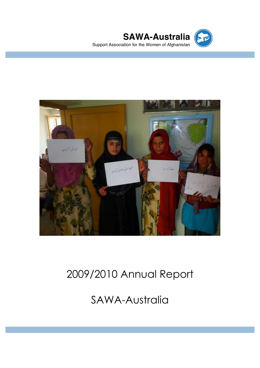



# 2009/2010 Annual Report

SAWA-Australia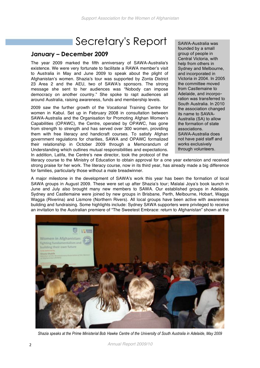### Secretary's Report

#### **January – December 2009**

The year 2009 marked the fifth anniversary of SAWA-Australia's existence. We were very fortunate to facilitate a RAWA member's visit to Australia in May and June 2009 to speak about the plight of Afghanistan's women. Shazia's tour was supported by Zonta District 23 Area 2 and the AEU, two of SAWA's sponsors. The strong message she sent to her audiences was "Nobody can impose democracy on another country." She spoke to rapt audiences all around Australia, raising awareness, funds and membership levels.

2009 saw the further growth of the Vocational Training Centre for women in Kabul. Set up in February 2008 in consultation between SAWA-Australia and the Organisation for Promoting Afghan Women's Capabilities (OPAWC), the Centre, operated by OPAWC, has gone from strength to strength and has served over 300 women, providing them with free literacy and handicraft courses. To satisfy Afghan government regulations for charities, SAWA and OPAWC formalized their relationship in October 2009 through a Memorandum of Understanding which outlines mutual responsibilities and expectations. In addition, Latifa, the Centre's new director, took the protocol of the

SAWA-Australia was founded by a small group of people in Central Victoria, with help from others in Sydney and Melbourne, and incorporated in Victoria in 2004. In 2005 the committee moved from Castlemaine to Adelaide, and incorporation was transferred to South Australia. In 2010 the association changed its name to SAWA-Australia (SA) to allow the formation of state associations. SAWA-Australia does not have paid staff and works exclusively through volunteers.

literacy course to the Ministry of Education to obtain approval for a one year extension and received strong praise for her work. The literacy course, now in its third year, has already made a big difference for families, particularly those without a male breadwinner.

A major milestone in the development of SAWA's work this year has been the formation of local SAWA groups in August 2009. These were set up after Shazia's tour; Malalai Joya's book launch in June and July also brought many new members to SAWA. Our established groups in Adelaide, Sydney and Castlemaine were joined by new groups in Brisbane, Perth, Melbourne, Hobart, Wagga Wagga (Riverina) and Lismore (Northern Rivers). All local groups have been active with awareness building and fundraising. Some highlights include: Sydney SAWA supporters were privileged to receive an invitation to the Australian premiere of "The Sweetest Embrace: return to Afghanistan" shown at the



*Shazia speaks at the Prime Ministerial Bob Hawke Centre of the University of South Australia in Adelaide, May 2009*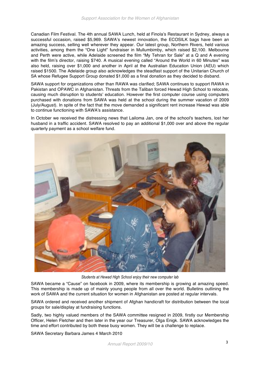Canadian Film Festival. The 4th annual SAWA Lunch, held at Finola's Restaurant in Sydney, always a successful occasion, raised \$5,969. SAWA's newest innovation, the ECOSILK bags have been an amazing success, selling well wherever they appear. Our latest group, Northern Rivers, held various activities, among them the "One Light" fundraiser in Mullumbimby, which raised \$2,100. Melbourne and Perth were active, while Adelaide screened the film "My Tehran for Sale" at a Q and A evening with the film's director, raising \$740. A musical evening called "Around the World in 60 Minutes" was also held, raising over \$1,000 and another in April at the Australian Education Union (AEU) which raised \$1500. The Adelaide group also acknowledges the steadfast support of the Unitarian Church of SA whose Refugee Support Group donated \$1,000 as a final donation as they decided to disband.

SAWA support for organizations other than RAWA was clarified; SAWA continues to support RAWA in Pakistan and OPAWC in Afghanistan. Threats from the Taliban forced Hewad High School to relocate, causing much disruption to students' education. However the first computer course using computers purchased with donations from SAWA was held at the school during the summer vacation of 2009 (July/August). In spite of the fact that the move demanded a significant rent increase Hewad was able to continue functioning with SAWA's assistance.

In October we received the distressing news that Lailoma Jan, one of the school's teachers, lost her husband in a traffic accident. SAWA resolved to pay an additional \$1,000 over and above the regular quarterly payment as a school welfare fund.



*Students at Hewad High School enjoy their new computer lab*

SAWA became a "Cause" on facebook in 2009, where its membership is growing at amazing speed. This membership is made up of mainly young people from all over the world. Bulletins outlining the work of SAWA and the current situation for women in Afghanistan are posted at regular intervals.

SAWA ordered and received another shipment of Afghan handicraft for distribution between the local groups for sale/display at fundraising functions.

Sadly, two highly valued members of the SAWA committee resigned in 2009, firstly our Membership Officer, Helen Fletcher and then later in the year our Treasurer, Olga Enigk. SAWA acknowledges the time and effort contributed by both these busy women. They will be a challenge to replace.

SAWA Secretary Barbara James 4 March 2010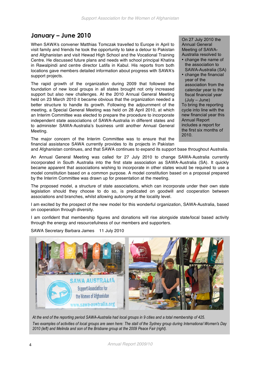### **January – June 2010**

When SAWA's convener Matthias Tomczak travelled to Europe in April to visit family and friends he took the opportunity to take a detour to Pakistan and Afghanistan and visit Hewad High School and the Vocational Training Centre. He discussed future plans and needs with school principal Khatira in Rawalpindi and centre director Latifa in Kabul. His reports from both locations gave members detailed information about progress with SAWA's support projects.

The rapid growth of the organization during 2009 that followed the foundation of new local groups in all states brought not only increased support but also new challenges. At the 2010 Annual General Meeting held on 23 March 2010 it became obvious that the organization needed a better structure to handle its growth. Following the adjournment of the meeting, a Special General Meeting was held on 28 April 2010, at which an Interim Committee was elected to prepare the procedure to incorporate independent state associations of SAWA-Australia in different states and to administer SAWA-Australia's business until another Annual General Meeting.

The major concern of the Interim Committee was to ensure that the financial assistance SAWA currently provides to its projects in Pakistan

On 27 July 2010 the Annual General Meeting of SAWA-Australia resolved to

- change the name of the association to SAWA-Australia (SA)
- change the financial year of the association from the calendar year to the fiscal financial year (July – June) To bring the reporting cycle into line with the new financial year this

Annual Report includes a report for the first six months of 2010.

and Afghanistan continues, and that SAWA continues to expand its support base throughout Australia.

An Annual General Meeting was called for 27 July 2010 to change SAWA-Australia currently incorporated in South Australia into the first state association as SAWA-Australia (SA). It quickly became apparent that associations wishing to incorporate in other states would be required to use a model constitution based on a common purpose. A model constitution based on a proposal prepared by the Interim Committee was drawn up for presentation at the meeting.

The proposed model, a structure of state associations, which can incorporate under their own state legislation should they choose to do so, is predicated on goodwill and cooperation between associations and branches, whilst allowing autonomy at the locality level.

I am excited by the prospect of the new model for this wonderful organization, SAWA-Australia, based on cooperation through diversity.

I am confident that membership figures and donations will rise alongside state/local based activity through the energy and resourcefulness of our members and supporters.



SAWA Secretary Barbara James 11 July 2010

*At the end of the reporting period SAWA-Australia had local groups in 9 cities and a total membership of 425. Two examples of activities of local groups are seen here: The stall of the Sydney group during International Women's Day 2010 (left) and Melinda and son of the Brisbane group at the 2009 Peace Fair (right).*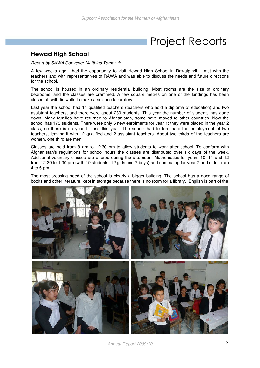## Project Reports

#### **Hewad High School**

*Report by SAWA Convener Matthias Tomczak*

A few weeks ago I had the opportunity to visit Hewad High School in Rawalpindi. I met with the teachers and with representatives of RAWA and was able to discuss the needs and future directions for the school.

The school is housed in an ordinary residential building. Most rooms are the size of ordinary bedrooms, and the classes are crammed. A few square metres on one of the landings has been closed off with tin walls to make a science laboratory.

Last year the school had 14 qualified teachers (teachers who hold a diploma of education) and two assistant teachers, and there were about 280 students. This year the number of students has gone down. Many families have returned to Afghanistan, some have moved to other countries. Now the school has 173 students. There were only 5 new enrolments for year 1; they were placed in the year 2 class, so there is no year 1 class this year. The school had to terminate the employment of two teachers, leaving it with 12 qualified and 2 assistant teachers. About two thirds of the teachers are women, one third are men.

Classes are held from 8 am to 12.30 pm to allow students to work after school. To conform with Afghanistan's regulations for school hours the classes are distributed over six days of the week. Additional voluntary classes are offered during the afternoon: Mathematics for years 10, 11 and 12 from 12.30 to 1.30 pm (with 19 students: 12 girls and 7 boys) and computing for year 7 and older from 4 to 5 pm.

The most pressing need of the school is clearly a bigger building. The school has a good range of books and other literature, kept in storage because there is no room for a library. English is part of the



*Annual Report 2009/10* <sup>5</sup>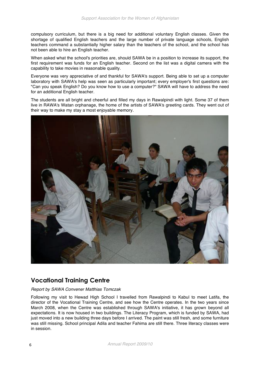compulsory curriculum, but there is a big need for additional voluntary English classes. Given the shortage of qualified English teachers and the large number of private language schools, English teachers command a substantially higher salary than the teachers of the school, and the school has not been able to hire an English teacher.

When asked what the school's priorities are, should SAWA be in a position to increase its support, the first requirement was funds for an English teacher. Second on the list was a digital camera with the capability to take movies in reasonable quality.

Everyone was very appreciative of and thankful for SAWA's support. Being able to set up a computer laboratory with SAWA's help was seen as particularly important; every employer's first questions are: "Can you speak English? Do you know how to use a computer?" SAWA will have to address the need for an additional English teacher.

The students are all bright and cheerful and filled my days in Rawalpindi with light. Some 37 of them live in RAWA's Watan orphanage, the home of the artists of SAWA's greeting cards. They went out of their way to make my stay a most enjoyable memory.



#### **Vocational Training Centre**

#### *Report by SAWA Convener Matthias Tomczak*

Following my visit to Hewad High School I travelled from Rawalpindi to Kabul to meet Latifa, the director of the Vocational Training Centre, and see how the Centre operates. In the two years since March 2008, when the Centre was established through SAWA's initiative, it has grown beyond all expectations. It is now housed in two buildings. The Literacy Program, which is funded by SAWA, had just moved into a new building three days before I arrived. The paint was still fresh, and some furniture was still missing. School principal Adila and teacher Fahima are still there. Three literacy classes were in session.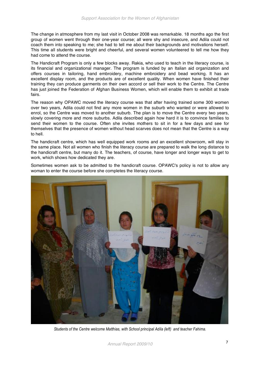The change in atmosphere from my last visit in October 2008 was remarkable. 18 months ago the first group of women went through their one-year course; all were shy and insecure, and Adila could not coach them into speaking to me; she had to tell me about their backgrounds and motivations herself. This time all students were bright and cheerful, and several women volunteered to tell me how they had come to attend the course.

The Handicraft Program is only a few blocks away. Rakia, who used to teach in the literacy course, is its financial and organizational manager. The program is funded by an Italian aid organization and offers courses in tailoring, hand embroidery, machine embroidery and bead working. It has an excellent display room, and the products are of excellent quality. When women have finished their training they can produce garments on their own accord or sell their work to the Centre. The Centre has just joined the Federation of Afghan Business Women, which will enable them to exhibit at trade fairs.

The reason why OPAWC moved the literacy course was that after having trained some 300 women over two years, Adila could not find any more women in the suburb who wanted or were allowed to enrol, so the Centre was moved to another suburb. The plan is to move the Centre every two years, slowly covering more and more suburbs. Adila described again how hard it is to convince families to send their women to the course. Often she invites mothers to sit in for a few days and see for themselves that the presence of women without head scarves does not mean that the Centre is a way to hell.

The handicraft centre, which has well equipped work rooms and an excellent showroom, will stay in the same place. Not all women who finish the literacy course are prepared to walk the long distance to the handicraft centre, but many do it. The teachers, of course, have longer and longer ways to get to work, which shows how dedicated they are.

Sometimes women ask to be admitted to the handicraft course. OPAWC's policy is not to allow any woman to enter the course before she completes the literacy course.



*Students of the Centre welcome Matthias, with School principal Adila (left) and teacher Fahima.*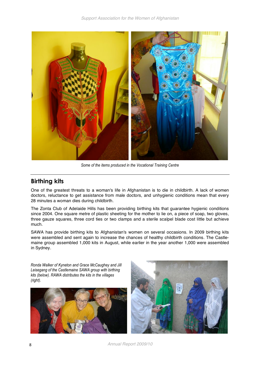

*Some of the items produced in the Vocational Training Centre*

### **Birthing kits**

One of the greatest threats to a woman's life in Afghanistan is to die in childbirth. A lack of women doctors, reluctance to get assistance from male doctors, and unhygienic conditions mean that every 28 minutes a woman dies during childbirth.

The Zonta Club of Adelaide Hills has been providing birthing kits that guarantee hygienic conditions since 2004. One square metre of plastic sheeting for the mother to lie on, a piece of soap, two gloves, three gauze squares, three cord ties or two clamps and a sterile scalpel blade cost little but achieve much.

SAWA has provide birthing kits to Afghanistan's women on several occasions. In 2009 birthing kits were assembled and sent again to increase the chances of healthy childbirth conditions. The Castlemaine group assembled 1,000 kits in August, while earlier in the year another 1,000 were assembled in Sydney.

*Ronda Walker of Kyneton and Grace McCaughey and Jill Leisegang of the Castlemaine SAWA group with birthing kits (below). RAWA distributes the kits in the villages (right).*





8 *Annual Report 2009/10*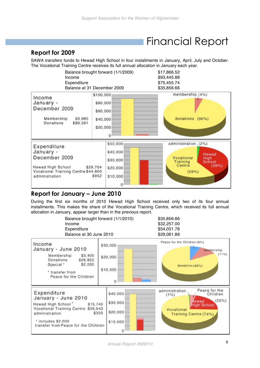### Financial Report

### **Report for 2009**

SAWA transfers funds to Hewad High School in four installments in January, April, July and October. The Vocational Training Centre receives its full annual allocation in January each year.



#### **Report for January – June 2010**

During the first six months of 2010 Hewad High School received only two of its four annual installments. This makes the share of the Vocational Training Centre, which received its full annual allocation in January, appear larger than in the previous report.